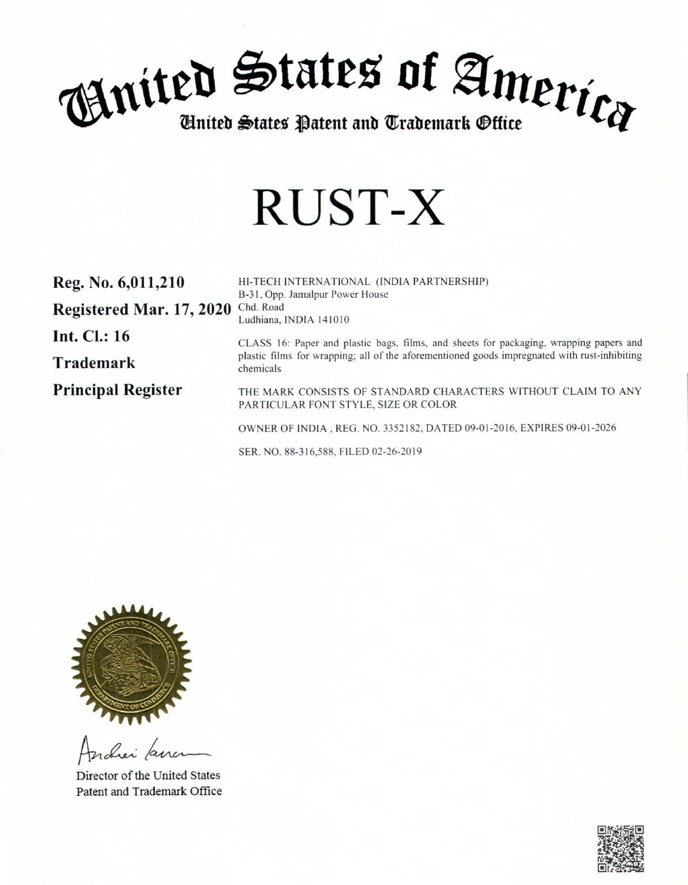

# **RUST-X**

| Reg. No. 6,011,210        | HI-TECH INTERNATIONAL (INDIA PARTNERSHIP)<br>B-31, Opp. Jamalpur Power House                              |
|---------------------------|-----------------------------------------------------------------------------------------------------------|
| Registered Mar. 17, 2020  | Chd. Road<br>Ludhiana, INDIA 141010                                                                       |
| <b>Int. Cl.: 16</b>       | CLASS 16: Paper and plastic bags, films, and sheets for packaging, wrapping papers and                    |
| <b>Trademark</b>          | plastic films for wrapping; all of the aforementioned goods impregnated with rust-inhibiting<br>chemicals |
| <b>Principal Register</b> | THE MARK CONSISTS OF STANDARD CHARACTERS WITHOUT CLAIM TO ANY<br>PARTICULAR FONT STYLE, SIZE OR COLOR     |
|                           | OWNER OF INDIA, REG. NO. 3352182, DATED 09-01-2016, EXPIRES 09-01-2026                                    |

SER. NO. 88-3 16,588. FILED 02-26-2019



ratier parc

Director of the United States Patent and Trademark Office